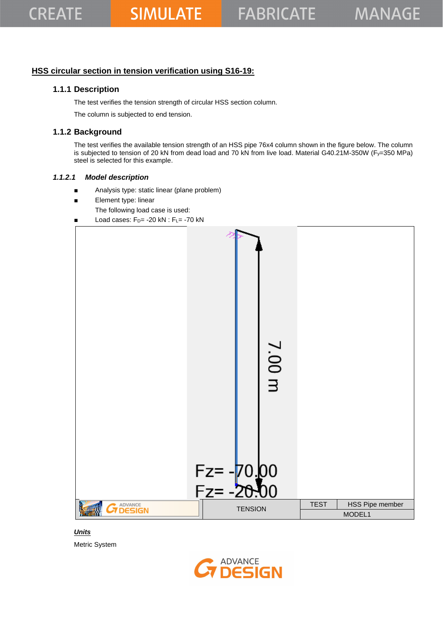## **HSS circular section in tension verification using S16-19:**

## **1.1.1 Description**

The test verifies the tension strength of circular HSS section column.

The column is subjected to end tension.

## **1.1.2 Background**

The test verifies the available tension strength of an HSS pipe 76x4 column shown in the figure below. The column is subjected to tension of 20 kN from dead load and 70 kN from live load. Material G40.21M-350W (Fy=350 MPa) steel is selected for this example.

#### *1.1.2.1 Model description*

- Analysis type: static linear (plane problem)
- Element type: linear
	- The following load case is used:
- Load cases:  $F_D$  = -20 kN :  $F_L$  = -70 kN



*Units* Metric System

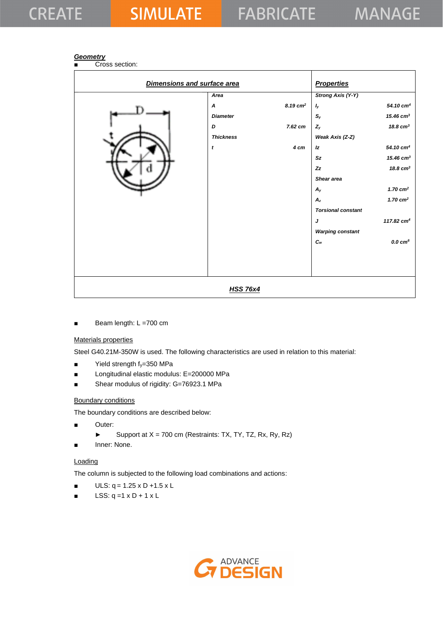## **CREATE**

# **SIMULATE**

### *Geometry*

Cross section:

| Dimensions and surface area |                  |                        | <b>Properties</b>         |                       |
|-----------------------------|------------------|------------------------|---------------------------|-----------------------|
|                             | Area             |                        | <b>Strong Axis (Y-Y)</b>  |                       |
|                             | A                | $8.19$ cm <sup>2</sup> | $I_{\mathsf{y}}$          | 54.10 cm <sup>4</sup> |
|                             | <b>Diameter</b>  |                        | $S_{y}$                   | 15.46 $cm3$           |
|                             | D                | 7.62 cm                | $Z_{y}$                   | $18.8 \text{ cm}^3$   |
|                             | <b>Thickness</b> |                        | Weak Axis (Z-Z)           |                       |
|                             | $\mathbf{t}$     | 4 cm                   | Iz                        | 54.10 cm <sup>4</sup> |
|                             |                  |                        | Sz                        | 15.46 $cm3$           |
|                             |                  |                        | Zz                        | 18.8 $cm3$            |
|                             |                  |                        | Shear area                |                       |
|                             |                  |                        | $A_{y}$                   | 1.70 $cm2$            |
|                             |                  |                        | $A_z$                     | 1.70 $cm2$            |
|                             |                  |                        | <b>Torsional constant</b> |                       |
|                             |                  |                        | J                         | 117.82 $cm4$          |
|                             |                  |                        | <b>Warping constant</b>   |                       |
|                             |                  |                        | $c_{w}$                   | $0.0 \text{ cm}^6$    |
|                             |                  |                        |                           |                       |
|                             |                  |                        |                           |                       |
|                             |                  |                        |                           |                       |
|                             |                  |                        |                           |                       |
|                             | <b>HSS 76x4</b>  |                        |                           |                       |

■ Beam length: L =700 cm

#### Materials properties

Steel G40.21M-350W is used. The following characteristics are used in relation to this material:

- Yield strength fy=350 MPa
- Longitudinal elastic modulus: E=200000 MPa
- Shear modulus of rigidity: G=76923.1 MPa

#### Boundary conditions

The boundary conditions are described below:

- Outer:
	- ► Support at  $X = 700$  cm (Restraints: TX, TY, TZ, Rx, Ry, Rz)
- Inner: None.

#### Loading

The column is subjected to the following load combinations and actions:

- $ULS: q = 1.25 \times D + 1.5 \times L$
- $\blacksquare$  LSS: q =1 x D + 1 x L

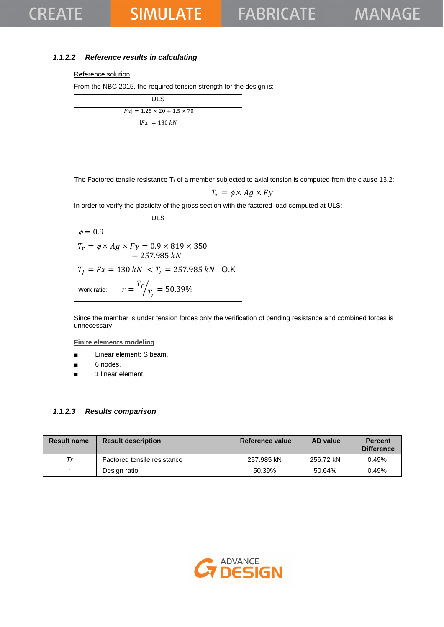## **SIMULATE**

## *1.1.2.2 Reference results in calculating*

#### Reference solution

From the NBC 2015, the required tension strength for the design is:

| <b>ULS</b>                              |  |
|-----------------------------------------|--|
| $ Fx  = 1.25 \times 20 + 1.5 \times 70$ |  |
| $ Fx  = 130 kN$                         |  |
|                                         |  |
|                                         |  |

The Factored tensile resistance  $T_r$  of a member subjected to axial tension is computed from the clause 13.2:

$$
T_r = \phi \times Ag \times Fy
$$

In order to verify the plasticity of the gross section with the factored load computed at ULS:

**ULS**  $\phi = 0.9$  $T_r = \phi \times Ag \times Fy = 0.9 \times 819 \times 350$  $= 257.985 kN$  $T_f = Fx = 130 \text{ kN } < T_r = 257.985 \text{ kN }$  O.K Work ratio:  $T_f$  $\sqrt{T_r} = 50.39\%$ 

Since the member is under tension forces only the verification of bending resistance and combined forces is unnecessary.

**Finite elements modeling**

- Linear element: S beam,
- 6 nodes,
- 1 linear element.

#### *1.1.2.3 Results comparison*

| <b>Result name</b> | <b>Result description</b>   | Reference value | <b>AD</b> value | <b>Percent</b><br><b>Difference</b> |
|--------------------|-----------------------------|-----------------|-----------------|-------------------------------------|
| $\tau_r$           | Factored tensile resistance | 257.985 kN      | 256.72 kN       | 0.49%                               |
|                    | Design ratio                | 50.39%          | 50.64%          | 0.49%                               |